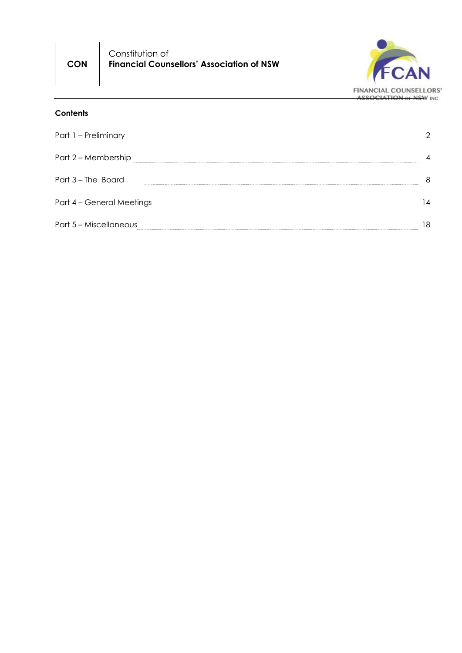**CON**

Constitution of **Financial Counsellors' Association of NSW**



#### **Contents**

| Part 1 - Preliminary      |             |
|---------------------------|-------------|
| Part 2 - Membership       |             |
| Part 3 - The Board        | 8           |
| Part 4 - General Meetings | $ 4\rangle$ |
| Part 5 - Miscellaneous    | 18          |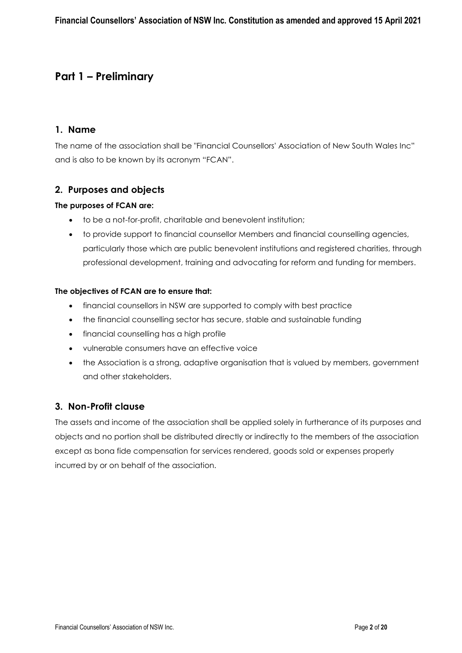## **Part 1 – Preliminary**

#### **1. Name**

The name of the association shall be "Financial Counsellors' Association of New South Wales Inc" and is also to be known by its acronym "FCAN".

#### **2. Purposes and objects**

#### **The purposes of FCAN are:**

- to be a not-for-profit, charitable and benevolent institution;
- to provide support to financial counsellor Members and financial counselling agencies, particularly those which are public benevolent institutions and registered charities, through professional development, training and advocating for reform and funding for members.

#### **The objectives of FCAN are to ensure that:**

- financial counsellors in NSW are supported to comply with best practice
- the financial counselling sector has secure, stable and sustainable funding
- financial counselling has a high profile
- vulnerable consumers have an effective voice
- the Association is a strong, adaptive organisation that is valued by members, government and other stakeholders.

#### **3. Non-Profit clause**

The assets and income of the association shall be applied solely in furtherance of its purposes and objects and no portion shall be distributed directly or indirectly to the members of the association except as bona fide compensation for services rendered, goods sold or expenses properly incurred by or on behalf of the association.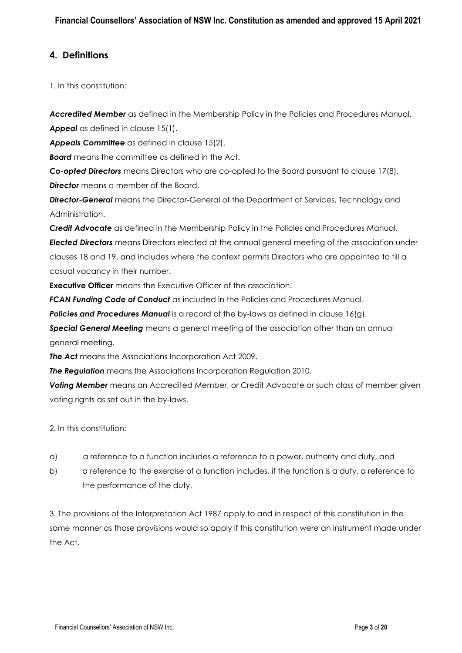### **4. Definitions**

1. In this constitution:

*Accredited Member* as defined in the Membership Policy in the Policies and Procedures Manual. *Appeal* as defined in clause 15(1).

*Appeals Committee* as defined in clause 15(2).

**Board** means the committee as defined in the Act.

*Co-opted Directors* means Directors who are co-opted to the Board pursuant to clause 17(8). **Director** means a member of the Board.

*Director-General* means the Director-General of the Department of Services, Technology and Administration.

*Credit Advocate* as defined in the Membership Policy in the Policies and Procedures Manual.

*Elected Directors* means Directors elected at the annual general meeting of the association under clauses 18 and 19, and includes where the context permits Directors who are appointed to fill a casual vacancy in their number.

**Executive Officer** means the Executive Officer of the association.

*FCAN Funding Code of Conduct* as included in the Policies and Procedures Manual.

*Policies and Procedures Manual* is a record of the by-laws as defined in clause 16(g).

*Special General Meeting* means a general meeting of the association other than an annual general meeting.

*The Act* means the Associations Incorporation Act 2009.

*The Regulation* means the Associations Incorporation Regulation 2010.

*Voting Member* means an Accredited Member, or Credit Advocate or such class of member given voting rights as set out in the by-laws.

2. In this constitution:

- a) a reference to a function includes a reference to a power, authority and duty, and
- b) a reference to the exercise of a function includes, if the function is a duty, a reference to the performance of the duty.

3. The provisions of the Interpretation Act 1987 apply to and in respect of this constitution in the same manner as those provisions would so apply if this constitution were an instrument made under the Act.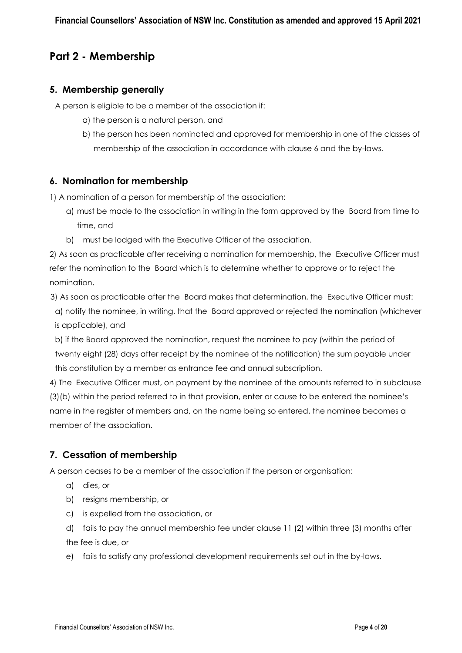# **Part 2 - Membership**

#### **5. Membership generally**

A person is eligible to be a member of the association if:

- a) the person is a natural person, and
- b) the person has been nominated and approved for membership in one of the classes of membership of the association in accordance with clause 6 and the by-laws.

#### **6. Nomination for membership**

1) A nomination of a person for membership of the association:

- a) must be made to the association in writing in the form approved by the Board from time to time, and
- b) must be lodged with the Executive Officer of the association.

2) As soon as practicable after receiving a nomination for membership, the Executive Officer must refer the nomination to the Board which is to determine whether to approve or to reject the nomination.

 3) As soon as practicable after the Board makes that determination, the Executive Officer must: a) notify the nominee, in writing, that the Board approved or rejected the nomination (whichever is applicable), and

b) if the Board approved the nomination, request the nominee to pay (within the period of twenty eight (28) days after receipt by the nominee of the notification) the sum payable under this constitution by a member as entrance fee and annual subscription.

4) The Executive Officer must, on payment by the nominee of the amounts referred to in subclause (3)(b) within the period referred to in that provision, enter or cause to be entered the nominee's name in the register of members and, on the name being so entered, the nominee becomes a member of the association.

## **7. Cessation of membership**

A person ceases to be a member of the association if the person or organisation:

- a) dies, or
- b) resigns membership, or
- c) is expelled from the association, or
- d) fails to pay the annual membership fee under clause 11 (2) within three (3) months after the fee is due, or
- e) fails to satisfy any professional development requirements set out in the by-laws.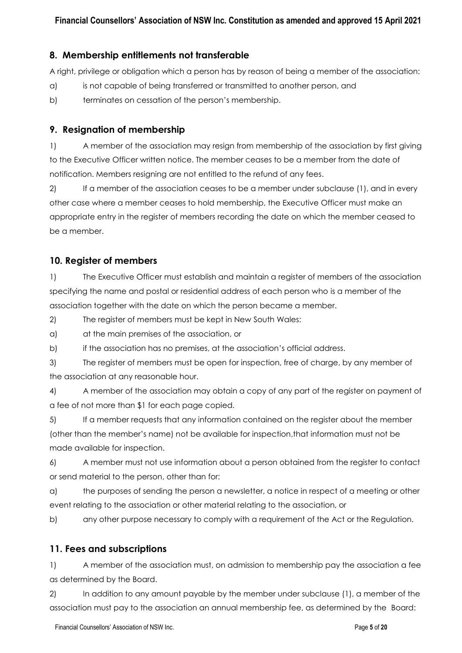#### **8. Membership entitlements not transferable**

A right, privilege or obligation which a person has by reason of being a member of the association:

- a) is not capable of being transferred or transmitted to another person, and
- b) terminates on cessation of the person's membership.

#### **9. Resignation of membership**

1) A member of the association may resign from membership of the association by first giving to the Executive Officer written notice. The member ceases to be a member from the date of notification. Members resigning are not entitled to the refund of any fees.

2) If a member of the association ceases to be a member under subclause (1), and in every other case where a member ceases to hold membership, the Executive Officer must make an appropriate entry in the register of members recording the date on which the member ceased to be a member.

#### **10. Register of members**

1) The Executive Officer must establish and maintain a register of members of the association specifying the name and postal or residential address of each person who is a member of the association together with the date on which the person became a member.

2) The register of members must be kept in New South Wales:

a) at the main premises of the association, or

b) if the association has no premises, at the association's official address.

3) The register of members must be open for inspection, free of charge, by any member of the association at any reasonable hour.

4) A member of the association may obtain a copy of any part of the register on payment of a fee of not more than \$1 for each page copied.

5) If a member requests that any information contained on the register about the member (other than the member's name) not be available for inspection,that information must not be made available for inspection.

6) A member must not use information about a person obtained from the register to contact or send material to the person, other than for:

a) the purposes of sending the person a newsletter, a notice in respect of a meeting or other event relating to the association or other material relating to the association, or

b) any other purpose necessary to comply with a requirement of the Act or the Regulation.

#### **11. Fees and subscriptions**

1) A member of the association must, on admission to membership pay the association a fee as determined by the Board.

2) In addition to any amount payable by the member under subclause (1), a member of the association must pay to the association an annual membership fee, as determined by the Board: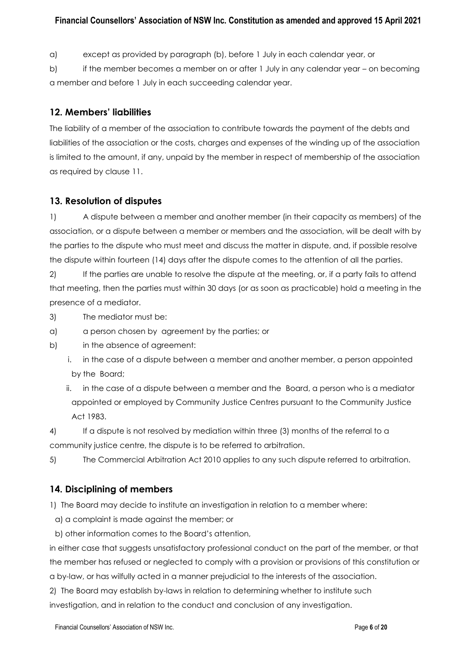#### **Financial Counsellors' Association of NSW Inc. Constitution as amended and approved 15 April 2021**

a) except as provided by paragraph (b), before 1 July in each calendar year, or

b) if the member becomes a member on or after 1 July in any calendar year – on becoming a member and before 1 July in each succeeding calendar year.

#### **12. Members' liabilities**

The liability of a member of the association to contribute towards the payment of the debts and liabilities of the association or the costs, charges and expenses of the winding up of the association is limited to the amount, if any, unpaid by the member in respect of membership of the association as required by clause 11.

#### **13. Resolution of disputes**

1) A dispute between a member and another member (in their capacity as members) of the association, or a dispute between a member or members and the association, will be dealt with by the parties to the dispute who must meet and discuss the matter in dispute, and, if possible resolve the dispute within fourteen (14) days after the dispute comes to the attention of all the parties.

2) If the parties are unable to resolve the dispute at the meeting, or, if a party fails to attend that meeting, then the parties must within 30 days (or as soon as practicable) hold a meeting in the presence of a mediator.

3) The mediator must be:

a) a person chosen by agreement by the parties; or

b) in the absence of agreement:

- i. in the case of a dispute between a member and another member, a person appointed by the Board;
- ii. in the case of a dispute between a member and the Board, a person who is a mediator appointed or employed by Community Justice Centres pursuant to the Community Justice Act 1983.

4) If a dispute is not resolved by mediation within three (3) months of the referral to a community justice centre, the dispute is to be referred to arbitration.

5) The Commercial Arbitration Act 2010 applies to any such dispute referred to arbitration.

#### **14. Disciplining of members**

1) The Board may decide to institute an investigation in relation to a member where:

a) a complaint is made against the member; or

b) other information comes to the Board's attention,

in either case that suggests unsatisfactory professional conduct on the part of the member, or that the member has refused or neglected to comply with a provision or provisions of this constitution or a by-law, or has wilfully acted in a manner prejudicial to the interests of the association.

2) The Board may establish by-laws in relation to determining whether to institute such investigation, and in relation to the conduct and conclusion of any investigation.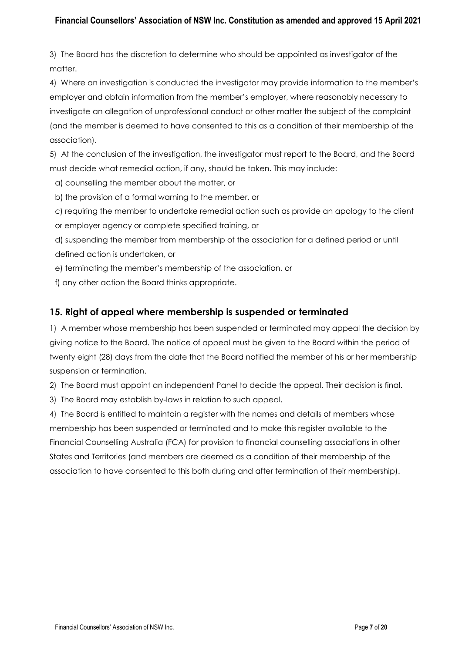#### **Financial Counsellors' Association of NSW Inc. Constitution as amended and approved 15 April 2021**

3) The Board has the discretion to determine who should be appointed as investigator of the matter.

4) Where an investigation is conducted the investigator may provide information to the member's employer and obtain information from the member's employer, where reasonably necessary to investigate an allegation of unprofessional conduct or other matter the subject of the complaint (and the member is deemed to have consented to this as a condition of their membership of the association).

5) At the conclusion of the investigation, the investigator must report to the Board, and the Board must decide what remedial action, if any, should be taken. This may include:

a) counselling the member about the matter, or

b) the provision of a formal warning to the member, or

c) requiring the member to undertake remedial action such as provide an apology to the client or employer agency or complete specified training, or

d) suspending the member from membership of the association for a defined period or until defined action is undertaken, or

e) terminating the member's membership of the association, or

f) any other action the Board thinks appropriate.

#### **15. Right of appeal where membership is suspended or terminated**

1) A member whose membership has been suspended or terminated may appeal the decision by giving notice to the Board. The notice of appeal must be given to the Board within the period of twenty eight (28) days from the date that the Board notified the member of his or her membership suspension or termination.

2) The Board must appoint an independent Panel to decide the appeal. Their decision is final.

3) The Board may establish by-laws in relation to such appeal.

4) The Board is entitled to maintain a register with the names and details of members whose membership has been suspended or terminated and to make this register available to the Financial Counselling Australia (FCA) for provision to financial counselling associations in other States and Territories (and members are deemed as a condition of their membership of the association to have consented to this both during and after termination of their membership).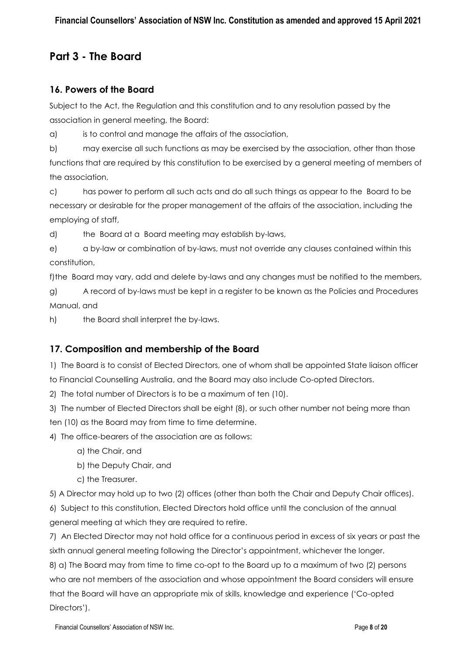# **Part 3 - The Board**

### **16. Powers of the Board**

Subject to the Act, the Regulation and this constitution and to any resolution passed by the association in general meeting, the Board:

a) is to control and manage the affairs of the association,

b) may exercise all such functions as may be exercised by the association, other than those

functions that are required by this constitution to be exercised by a general meeting of members of the association,

c) has power to perform all such acts and do all such things as appear to the Board to be necessary or desirable for the proper management of the affairs of the association, including the employing of staff,

d) the Board at a Board meeting may establish by-laws,

e) a by-law or combination of by-laws, must not override any clauses contained within this constitution,

f)the Board may vary, add and delete by-laws and any changes must be notified to the members,

g) A record of by-laws must be kept in a register to be known as the Policies and Procedures Manual, and

h) the Board shall interpret the by-laws.

## **17. Composition and membership of the Board**

1) The Board is to consist of Elected Directors, one of whom shall be appointed State liaison officer

to Financial Counselling Australia, and the Board may also include Co-opted Directors.

2) The total number of Directors is to be a maximum of ten (10).

3) The number of Elected Directors shall be eight (8), or such other number not being more than ten (10) as the Board may from time to time determine.

4) The office-bearers of the association are as follows:

- a) the Chair, and
- b) the Deputy Chair, and
- c) the Treasurer.

5) A Director may hold up to two (2) offices (other than both the Chair and Deputy Chair offices).

6) Subject to this constitution, Elected Directors hold office until the conclusion of the annual general meeting at which they are required to retire.

7) An Elected Director may not hold office for a continuous period in excess of six years or past the sixth annual general meeting following the Director's appointment, whichever the longer.

8) a) The Board may from time to time co-opt to the Board up to a maximum of two (2) persons who are not members of the association and whose appointment the Board considers will ensure that the Board will have an appropriate mix of skills, knowledge and experience ('Co-opted Directors').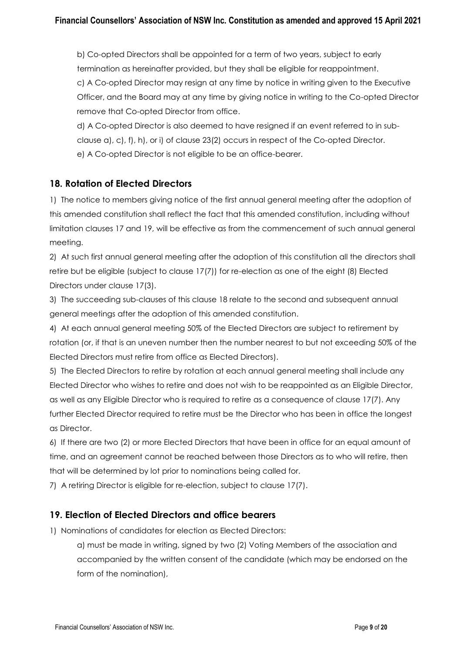b) Co-opted Directors shall be appointed for a term of two years, subject to early termination as hereinafter provided, but they shall be eligible for reappointment. c) A Co-opted Director may resign at any time by notice in writing given to the Executive Officer, and the Board may at any time by giving notice in writing to the Co-opted Director remove that Co-opted Director from office.

d) A Co-opted Director is also deemed to have resigned if an event referred to in subclause a), c), f), h), or i) of clause 23(2) occurs in respect of the Co-opted Director. e) A Co-opted Director is not eligible to be an office-bearer.

#### **18. Rotation of Elected Directors**

1) The notice to members giving notice of the first annual general meeting after the adoption of this amended constitution shall reflect the fact that this amended constitution, including without limitation clauses 17 and 19, will be effective as from the commencement of such annual general meeting.

2) At such first annual general meeting after the adoption of this constitution all the directors shall retire but be eligible (subject to clause 17(7)) for re-election as one of the eight (8) Elected Directors under clause 17(3).

3) The succeeding sub-clauses of this clause 18 relate to the second and subsequent annual general meetings after the adoption of this amended constitution.

4) At each annual general meeting 50% of the Elected Directors are subject to retirement by rotation (or, if that is an uneven number then the number nearest to but not exceeding 50% of the Elected Directors must retire from office as Elected Directors).

5) The Elected Directors to retire by rotation at each annual general meeting shall include any Elected Director who wishes to retire and does not wish to be reappointed as an Eligible Director, as well as any Eligible Director who is required to retire as a consequence of clause 17(7). Any further Elected Director required to retire must be the Director who has been in office the longest as Director.

6) If there are two (2) or more Elected Directors that have been in office for an equal amount of time, and an agreement cannot be reached between those Directors as to who will retire, then that will be determined by lot prior to nominations being called for.

7) A retiring Director is eligible for re-election, subject to clause 17(7).

### **19. Election of Elected Directors and office bearers**

1) Nominations of candidates for election as Elected Directors:

a) must be made in writing, signed by two (2) Voting Members of the association and accompanied by the written consent of the candidate (which may be endorsed on the form of the nomination),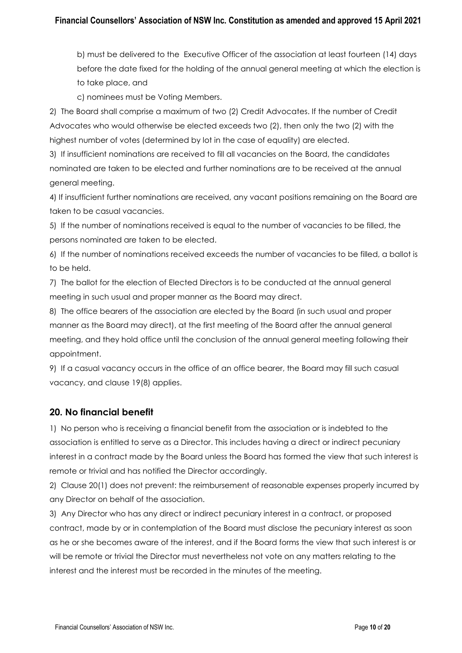b) must be delivered to the Executive Officer of the association at least fourteen (14) days before the date fixed for the holding of the annual general meeting at which the election is to take place, and

c) nominees must be Voting Members.

2) The Board shall comprise a maximum of two (2) Credit Advocates. If the number of Credit Advocates who would otherwise be elected exceeds two (2), then only the two (2) with the highest number of votes (determined by lot in the case of equality) are elected.

3) If insufficient nominations are received to fill all vacancies on the Board, the candidates nominated are taken to be elected and further nominations are to be received at the annual general meeting.

4) If insufficient further nominations are received, any vacant positions remaining on the Board are taken to be casual vacancies.

5) If the number of nominations received is equal to the number of vacancies to be filled, the persons nominated are taken to be elected.

6) If the number of nominations received exceeds the number of vacancies to be filled, a ballot is to be held.

7) The ballot for the election of Elected Directors is to be conducted at the annual general meeting in such usual and proper manner as the Board may direct.

8) The office bearers of the association are elected by the Board (in such usual and proper manner as the Board may direct), at the first meeting of the Board after the annual general meeting, and they hold office until the conclusion of the annual general meeting following their appointment.

9) If a casual vacancy occurs in the office of an office bearer, the Board may fill such casual vacancy, and clause 19(8) applies.

#### **20. No financial benefit**

1) No person who is receiving a financial benefit from the association or is indebted to the association is entitled to serve as a Director. This includes having a direct or indirect pecuniary interest in a contract made by the Board unless the Board has formed the view that such interest is remote or trivial and has notified the Director accordingly.

2) Clause 20(1) does not prevent: the reimbursement of reasonable expenses properly incurred by any Director on behalf of the association.

3) Any Director who has any direct or indirect pecuniary interest in a contract, or proposed contract, made by or in contemplation of the Board must disclose the pecuniary interest as soon as he or she becomes aware of the interest, and if the Board forms the view that such interest is or will be remote or trivial the Director must nevertheless not vote on any matters relating to the interest and the interest must be recorded in the minutes of the meeting.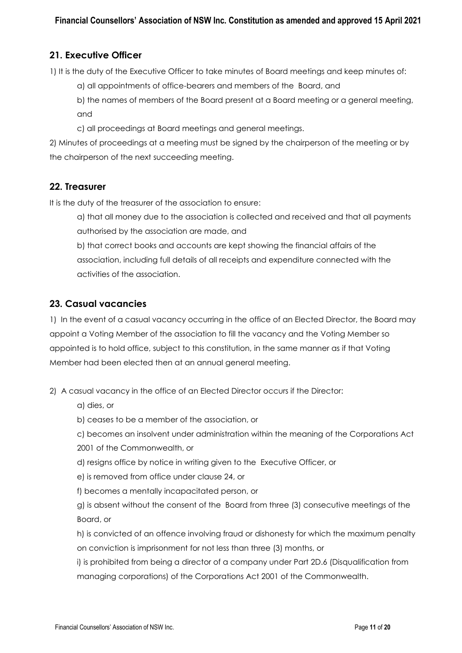## **21. Executive Officer**

1) It is the duty of the Executive Officer to take minutes of Board meetings and keep minutes of:

- a) all appointments of office-bearers and members of the Board, and
- b) the names of members of the Board present at a Board meeting or a general meeting, and
- c) all proceedings at Board meetings and general meetings.

2) Minutes of proceedings at a meeting must be signed by the chairperson of the meeting or by the chairperson of the next succeeding meeting.

#### **22. Treasurer**

It is the duty of the treasurer of the association to ensure:

a) that all money due to the association is collected and received and that all payments authorised by the association are made, and

b) that correct books and accounts are kept showing the financial affairs of the association, including full details of all receipts and expenditure connected with the activities of the association.

#### **23. Casual vacancies**

1) In the event of a casual vacancy occurring in the office of an Elected Director, the Board may appoint a Voting Member of the association to fill the vacancy and the Voting Member so appointed is to hold office, subject to this constitution, in the same manner as if that Voting Member had been elected then at an annual general meeting.

2) A casual vacancy in the office of an Elected Director occurs if the Director:

a) dies, or

b) ceases to be a member of the association, or

- c) becomes an insolvent under administration within the meaning of the Corporations Act
- 2001 of the Commonwealth, or
- d) resigns office by notice in writing given to the Executive Officer, or
- e) is removed from office under clause 24, or
- f) becomes a mentally incapacitated person, or

g) is absent without the consent of the Board from three (3) consecutive meetings of the Board, or

h) is convicted of an offence involving fraud or dishonesty for which the maximum penalty on conviction is imprisonment for not less than three (3) months, or

i) is prohibited from being a director of a company under Part 2D.6 (Disqualification from managing corporations) of the Corporations Act 2001 of the Commonwealth.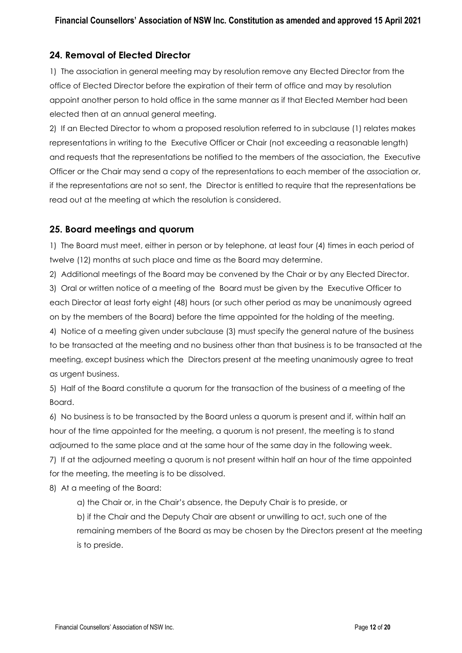## **24. Removal of Elected Director**

1) The association in general meeting may by resolution remove any Elected Director from the office of Elected Director before the expiration of their term of office and may by resolution appoint another person to hold office in the same manner as if that Elected Member had been elected then at an annual general meeting.

2) If an Elected Director to whom a proposed resolution referred to in subclause (1) relates makes representations in writing to the Executive Officer or Chair (not exceeding a reasonable length) and requests that the representations be notified to the members of the association, the Executive Officer or the Chair may send a copy of the representations to each member of the association or, if the representations are not so sent, the Director is entitled to require that the representations be read out at the meeting at which the resolution is considered.

#### **25. Board meetings and quorum**

1) The Board must meet, either in person or by telephone, at least four (4) times in each period of twelve (12) months at such place and time as the Board may determine.

2) Additional meetings of the Board may be convened by the Chair or by any Elected Director. 3) Oral or written notice of a meeting of the Board must be given by the Executive Officer to each Director at least forty eight (48) hours (or such other period as may be unanimously agreed on by the members of the Board) before the time appointed for the holding of the meeting. 4) Notice of a meeting given under subclause (3) must specify the general nature of the business to be transacted at the meeting and no business other than that business is to be transacted at the meeting, except business which the Directors present at the meeting unanimously agree to treat as urgent business.

5) Half of the Board constitute a quorum for the transaction of the business of a meeting of the Board.

6) No business is to be transacted by the Board unless a quorum is present and if, within half an hour of the time appointed for the meeting, a quorum is not present, the meeting is to stand adjourned to the same place and at the same hour of the same day in the following week.

7) If at the adjourned meeting a quorum is not present within half an hour of the time appointed for the meeting, the meeting is to be dissolved.

8) At a meeting of the Board:

a) the Chair or, in the Chair's absence, the Deputy Chair is to preside, or

b) if the Chair and the Deputy Chair are absent or unwilling to act, such one of the remaining members of the Board as may be chosen by the Directors present at the meeting is to preside.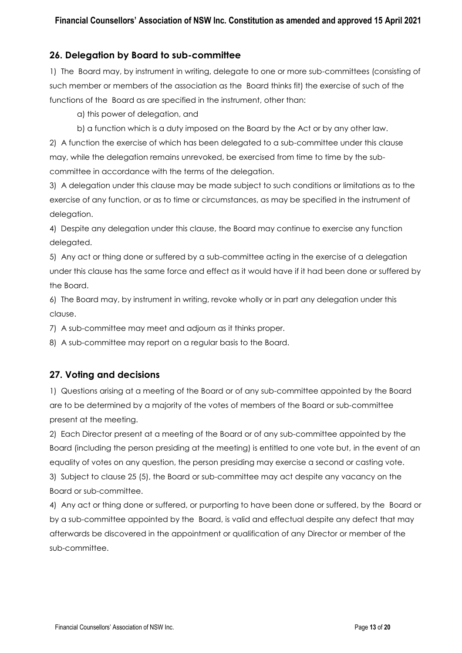#### **26. Delegation by Board to sub-committee**

1) The Board may, by instrument in writing, delegate to one or more sub-committees (consisting of such member or members of the association as the Board thinks fit) the exercise of such of the functions of the Board as are specified in the instrument, other than:

a) this power of delegation, and

b) a function which is a duty imposed on the Board by the Act or by any other law.

2) A function the exercise of which has been delegated to a sub-committee under this clause may, while the delegation remains unrevoked, be exercised from time to time by the subcommittee in accordance with the terms of the delegation.

3) A delegation under this clause may be made subject to such conditions or limitations as to the exercise of any function, or as to time or circumstances, as may be specified in the instrument of delegation.

4) Despite any delegation under this clause, the Board may continue to exercise any function delegated.

5) Any act or thing done or suffered by a sub-committee acting in the exercise of a delegation under this clause has the same force and effect as it would have if it had been done or suffered by the Board.

6) The Board may, by instrument in writing, revoke wholly or in part any delegation under this clause.

7) A sub-committee may meet and adjourn as it thinks proper.

8) A sub-committee may report on a regular basis to the Board.

#### **27. Voting and decisions**

1) Questions arising at a meeting of the Board or of any sub-committee appointed by the Board are to be determined by a majority of the votes of members of the Board or sub-committee present at the meeting.

2) Each Director present at a meeting of the Board or of any sub-committee appointed by the Board (including the person presiding at the meeting) is entitled to one vote but, in the event of an equality of votes on any question, the person presiding may exercise a second or casting vote. 3) Subject to clause 25 (5), the Board or sub-committee may act despite any vacancy on the Board or sub-committee.

4) Any act or thing done or suffered, or purporting to have been done or suffered, by the Board or by a sub-committee appointed by the Board, is valid and effectual despite any defect that may afterwards be discovered in the appointment or qualification of any Director or member of the sub-committee.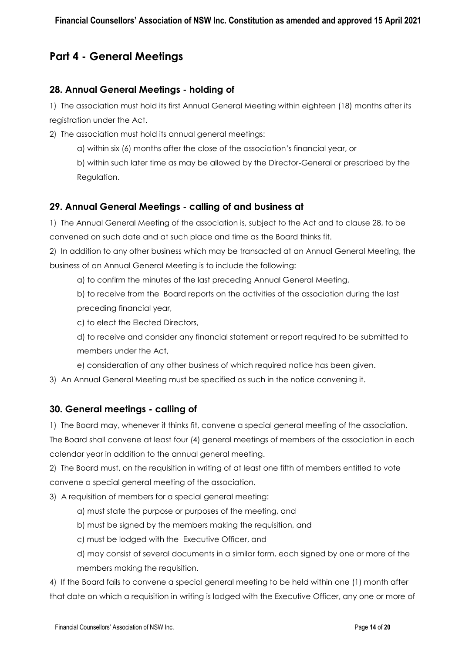# **Part 4 - General Meetings**

#### **28. Annual General Meetings - holding of**

1) The association must hold its first Annual General Meeting within eighteen (18) months after its registration under the Act.

2) The association must hold its annual general meetings:

a) within six (6) months after the close of the association's financial year, or

b) within such later time as may be allowed by the Director-General or prescribed by the Regulation.

#### **29. Annual General Meetings - calling of and business at**

1) The Annual General Meeting of the association is, subject to the Act and to clause 28, to be convened on such date and at such place and time as the Board thinks fit.

2) In addition to any other business which may be transacted at an Annual General Meeting, the business of an Annual General Meeting is to include the following:

a) to confirm the minutes of the last preceding Annual General Meeting,

b) to receive from the Board reports on the activities of the association during the last preceding financial year,

c) to elect the Elected Directors,

d) to receive and consider any financial statement or report required to be submitted to members under the Act,

e) consideration of any other business of which required notice has been given.

3) An Annual General Meeting must be specified as such in the notice convening it.

#### **30. General meetings - calling of**

1) The Board may, whenever it thinks fit, convene a special general meeting of the association.

The Board shall convene at least four (4) general meetings of members of the association in each calendar year in addition to the annual general meeting.

2) The Board must, on the requisition in writing of at least one fifth of members entitled to vote convene a special general meeting of the association.

3) A requisition of members for a special general meeting:

- a) must state the purpose or purposes of the meeting, and
- b) must be signed by the members making the requisition, and
- c) must be lodged with the Executive Officer, and
- d) may consist of several documents in a similar form, each signed by one or more of the members making the requisition.

4) If the Board fails to convene a special general meeting to be held within one (1) month after that date on which a requisition in writing is lodged with the Executive Officer, any one or more of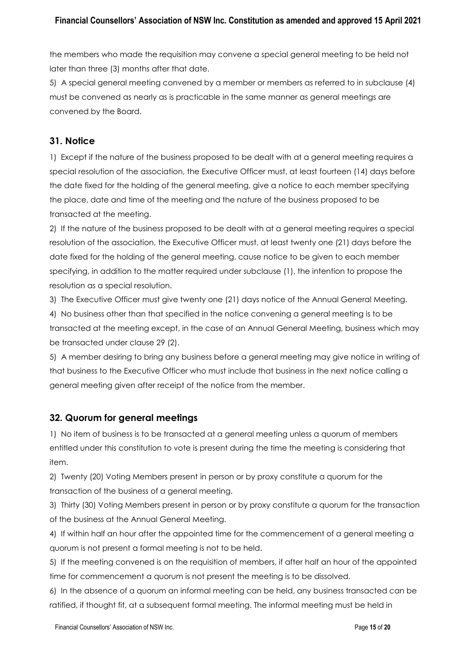the members who made the requisition may convene a special general meeting to be held not later than three (3) months after that date.

5) A special general meeting convened by a member or members as referred to in subclause (4) must be convened as nearly as is practicable in the same manner as general meetings are convened by the Board.

### **31. Notice**

1) Except if the nature of the business proposed to be dealt with at a general meeting requires a special resolution of the association, the Executive Officer must, at least fourteen (14) days before the date fixed for the holding of the general meeting, give a notice to each member specifying the place, date and time of the meeting and the nature of the business proposed to be transacted at the meeting.

2) If the nature of the business proposed to be dealt with at a general meeting requires a special resolution of the association, the Executive Officer must, at least twenty one (21) days before the date fixed for the holding of the general meeting, cause notice to be given to each member specifying, in addition to the matter required under subclause (1), the intention to propose the resolution as a special resolution.

3) The Executive Officer must give twenty one (21) days notice of the Annual General Meeting.

4) No business other than that specified in the notice convening a general meeting is to be transacted at the meeting except, in the case of an Annual General Meeting, business which may be transacted under clause 29 (2).

5) A member desiring to bring any business before a general meeting may give notice in writing of that business to the Executive Officer who must include that business in the next notice calling a general meeting given after receipt of the notice from the member.

### **32. Quorum for general meetings**

1) No item of business is to be transacted at a general meeting unless a quorum of members entitled under this constitution to vote is present during the time the meeting is considering that item.

2) Twenty (20) Voting Members present in person or by proxy constitute a quorum for the transaction of the business of a general meeting.

3) Thirty (30) Voting Members present in person or by proxy constitute a quorum for the transaction of the business at the Annual General Meeting.

4) If within half an hour after the appointed time for the commencement of a general meeting a quorum is not present a formal meeting is not to be held.

5) If the meeting convened is on the requisition of members, if after half an hour of the appointed time for commencement a quorum is not present the meeting is to be dissolved.

6) In the absence of a quorum an informal meeting can be held, any business transacted can be ratified, if thought fit, at a subsequent formal meeting. The informal meeting must be held in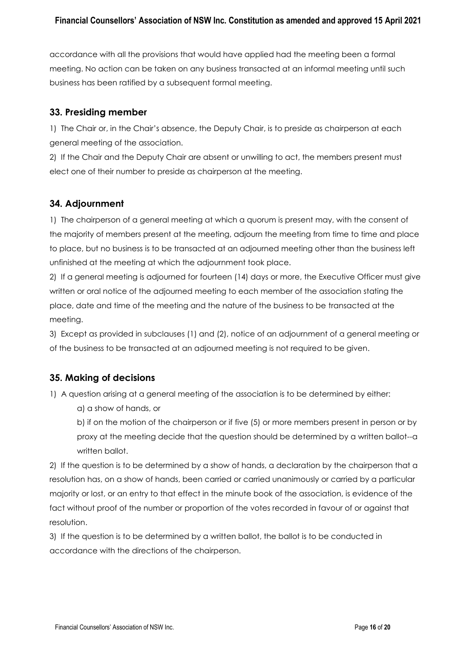accordance with all the provisions that would have applied had the meeting been a formal meeting. No action can be taken on any business transacted at an informal meeting until such business has been ratified by a subsequent formal meeting.

#### **33. Presiding member**

1) The Chair or, in the Chair's absence, the Deputy Chair, is to preside as chairperson at each general meeting of the association.

2) If the Chair and the Deputy Chair are absent or unwilling to act, the members present must elect one of their number to preside as chairperson at the meeting.

### **34. Adjournment**

1) The chairperson of a general meeting at which a quorum is present may, with the consent of the majority of members present at the meeting, adjourn the meeting from time to time and place to place, but no business is to be transacted at an adjourned meeting other than the business left unfinished at the meeting at which the adjournment took place.

2) If a general meeting is adjourned for fourteen (14) days or more, the Executive Officer must give written or oral notice of the adjourned meeting to each member of the association stating the place, date and time of the meeting and the nature of the business to be transacted at the meeting.

3) Except as provided in subclauses (1) and (2), notice of an adjournment of a general meeting or of the business to be transacted at an adjourned meeting is not required to be given.

### **35. Making of decisions**

1) A question arising at a general meeting of the association is to be determined by either:

a) a show of hands, or

b) if on the motion of the chairperson or if five (5) or more members present in person or by proxy at the meeting decide that the question should be determined by a written ballot--a written ballot.

2) If the question is to be determined by a show of hands, a declaration by the chairperson that a resolution has, on a show of hands, been carried or carried unanimously or carried by a particular majority or lost, or an entry to that effect in the minute book of the association, is evidence of the fact without proof of the number or proportion of the votes recorded in favour of or against that resolution.

3) If the question is to be determined by a written ballot, the ballot is to be conducted in accordance with the directions of the chairperson.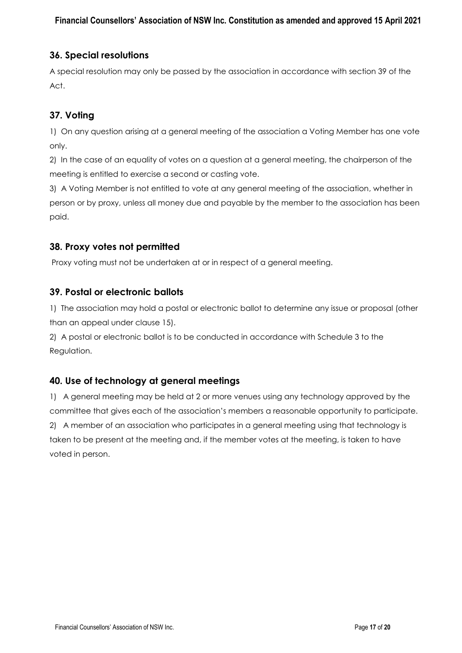## **36. Special resolutions**

A special resolution may only be passed by the association in accordance with section 39 of the Act.

## **37. Voting**

1) On any question arising at a general meeting of the association a Voting Member has one vote only.

2) In the case of an equality of votes on a question at a general meeting, the chairperson of the meeting is entitled to exercise a second or casting vote.

3) A Voting Member is not entitled to vote at any general meeting of the association, whether in person or by proxy, unless all money due and payable by the member to the association has been paid.

### **38. Proxy votes not permitted**

Proxy voting must not be undertaken at or in respect of a general meeting.

### **39. Postal or electronic ballots**

1) The association may hold a postal or electronic ballot to determine any issue or proposal (other than an appeal under clause 15).

2) A postal or electronic ballot is to be conducted in accordance with Schedule 3 to the Regulation.

### **40. Use of technology at general meetings**

1) A general meeting may be held at 2 or more venues using any technology approved by the committee that gives each of the association's members a reasonable opportunity to participate. 2) A member of an association who participates in a general meeting using that technology is taken to be present at the meeting and, if the member votes at the meeting, is taken to have voted in person.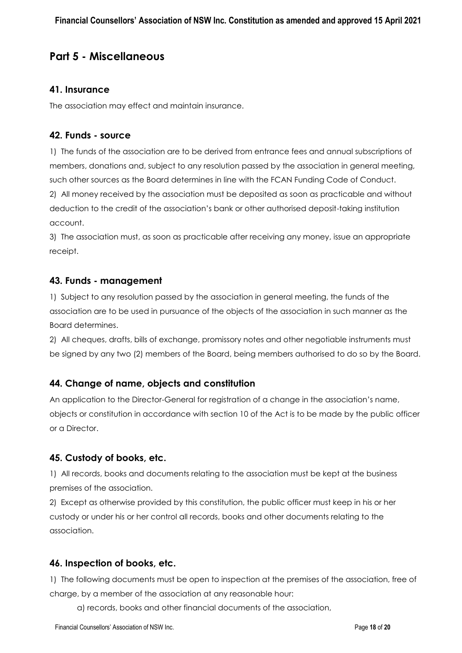# **Part 5 - Miscellaneous**

#### **41. Insurance**

The association may effect and maintain insurance.

#### **42. Funds - source**

1) The funds of the association are to be derived from entrance fees and annual subscriptions of members, donations and, subject to any resolution passed by the association in general meeting, such other sources as the Board determines in line with the FCAN Funding Code of Conduct.

2) All money received by the association must be deposited as soon as practicable and without deduction to the credit of the association's bank or other authorised deposit-taking institution account.

3) The association must, as soon as practicable after receiving any money, issue an appropriate receipt.

#### **43. Funds - management**

1) Subject to any resolution passed by the association in general meeting, the funds of the association are to be used in pursuance of the objects of the association in such manner as the Board determines.

2) All cheques, drafts, bills of exchange, promissory notes and other negotiable instruments must be signed by any two (2) members of the Board, being members authorised to do so by the Board.

#### **44. Change of name, objects and constitution**

An application to the Director-General for registration of a change in the association's name, objects or constitution in accordance with section 10 of the Act is to be made by the public officer or a Director.

#### **45. Custody of books, etc.**

1) All records, books and documents relating to the association must be kept at the business premises of the association.

2) Except as otherwise provided by this constitution, the public officer must keep in his or her custody or under his or her control all records, books and other documents relating to the association.

#### **46. Inspection of books, etc.**

1) The following documents must be open to inspection at the premises of the association, free of charge, by a member of the association at any reasonable hour:

a) records, books and other financial documents of the association,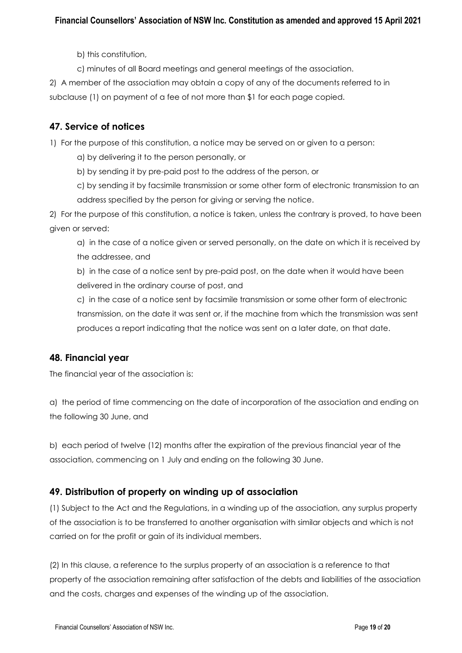b) this constitution,

c) minutes of all Board meetings and general meetings of the association.

2) A member of the association may obtain a copy of any of the documents referred to in subclause (1) on payment of a fee of not more than \$1 for each page copied.

## **47. Service of notices**

1) For the purpose of this constitution, a notice may be served on or given to a person:

a) by delivering it to the person personally, or

b) by sending it by pre-paid post to the address of the person, or

c) by sending it by facsimile transmission or some other form of electronic transmission to an address specified by the person for giving or serving the notice.

2) For the purpose of this constitution, a notice is taken, unless the contrary is proved, to have been given or served:

a) in the case of a notice given or served personally, on the date on which it is received by the addressee, and

b) in the case of a notice sent by pre-paid post, on the date when it would have been delivered in the ordinary course of post, and

c) in the case of a notice sent by facsimile transmission or some other form of electronic transmission, on the date it was sent or, if the machine from which the transmission was sent produces a report indicating that the notice was sent on a later date, on that date.

### **48. Financial year**

The financial year of the association is:

a) the period of time commencing on the date of incorporation of the association and ending on the following 30 June, and

b) each period of twelve (12) months after the expiration of the previous financial year of the association, commencing on 1 July and ending on the following 30 June.

## **49. Distribution of property on winding up of association**

(1) Subject to the Act and the Regulations, in a winding up of the association, any surplus property of the association is to be transferred to another organisation with similar objects and which is not carried on for the profit or gain of its individual members.

(2) In this clause, a reference to the surplus property of an association is a reference to that property of the association remaining after satisfaction of the debts and liabilities of the association and the costs, charges and expenses of the winding up of the association.